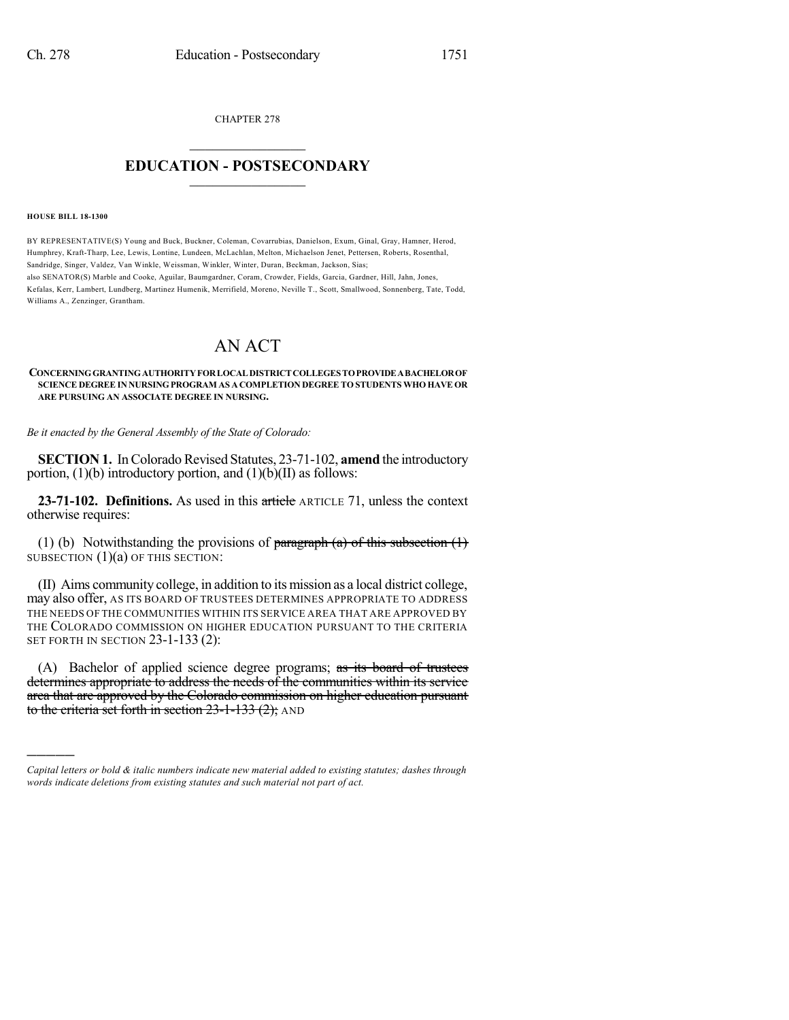CHAPTER 278  $\mathcal{L}_\text{max}$  . The set of the set of the set of the set of the set of the set of the set of the set of the set of the set of the set of the set of the set of the set of the set of the set of the set of the set of the set

## **EDUCATION - POSTSECONDARY**  $\_$   $\_$   $\_$   $\_$   $\_$   $\_$   $\_$   $\_$   $\_$

**HOUSE BILL 18-1300**

)))))

BY REPRESENTATIVE(S) Young and Buck, Buckner, Coleman, Covarrubias, Danielson, Exum, Ginal, Gray, Hamner, Herod, Humphrey, Kraft-Tharp, Lee, Lewis, Lontine, Lundeen, McLachlan, Melton, Michaelson Jenet, Pettersen, Roberts, Rosenthal, Sandridge, Singer, Valdez, Van Winkle, Weissman, Winkler, Winter, Duran, Beckman, Jackson, Sias; also SENATOR(S) Marble and Cooke, Aguilar, Baumgardner, Coram, Crowder, Fields, Garcia, Gardner, Hill, Jahn, Jones, Kefalas, Kerr, Lambert, Lundberg, Martinez Humenik, Merrifield, Moreno, Neville T., Scott, Smallwood, Sonnenberg, Tate, Todd, Williams A., Zenzinger, Grantham.

## AN ACT

## **CONCERNINGGRANTINGAUTHORITYFORLOCALDISTRICTCOLLEGES TOPROVIDEABACHELOROF SCIENCE DEGREE IN NURSINGPROGRAM AS A COMPLETION DEGREE TO STUDENTS WHO HAVE OR ARE PURSUING AN ASSOCIATE DEGREE IN NURSING.**

*Be it enacted by the General Assembly of the State of Colorado:*

**SECTION 1.** In Colorado Revised Statutes, 23-71-102, amend the introductory portion,  $(1)(b)$  introductory portion, and  $(1)(b)(II)$  as follows:

**23-71-102. Definitions.** As used in this article ARTICLE 71, unless the context otherwise requires:

(1) (b) Notwithstanding the provisions of paragraph (a) of this subsection  $(1)$ SUBSECTION  $(1)(a)$  OF THIS SECTION:

(II) Aims community college, in addition to its mission as a local district college, may also offer, AS ITS BOARD OF TRUSTEES DETERMINES APPROPRIATE TO ADDRESS THE NEEDS OF THE COMMUNITIES WITHIN ITS SERVICE AREA THAT ARE APPROVED BY THE COLORADO COMMISSION ON HIGHER EDUCATION PURSUANT TO THE CRITERIA SET FORTH IN SECTION 23-1-133 (2):

(A) Bachelor of applied science degree programs; as its board of trustees determines appropriate to address the needs of the communities within its service area that are approved by the Colorado commission on higher education pursuant to the criteria set forth in section  $23-1-133$   $(2)$ ; AND

*Capital letters or bold & italic numbers indicate new material added to existing statutes; dashes through words indicate deletions from existing statutes and such material not part of act.*